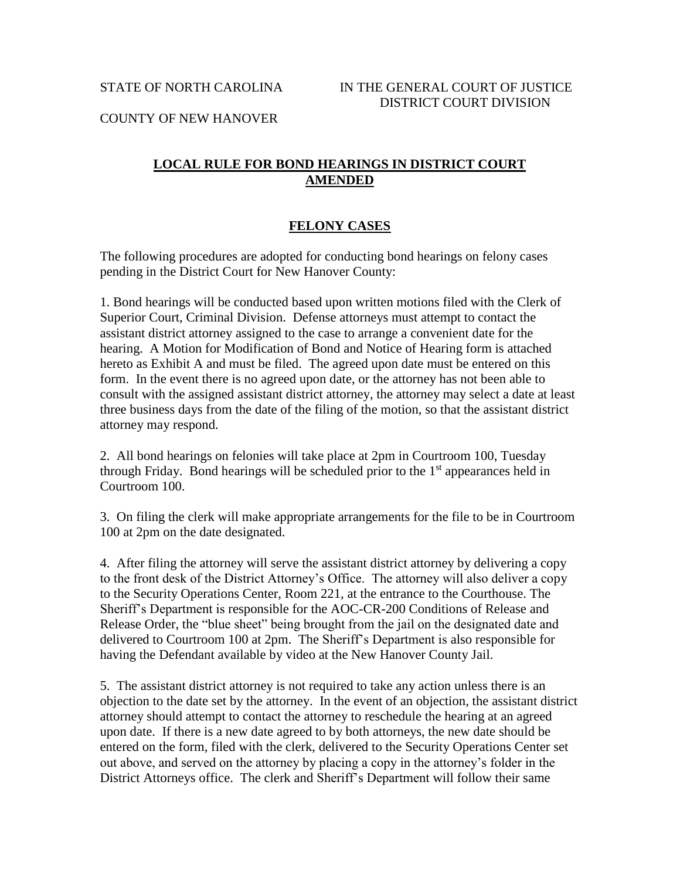COUNTY OF NEW HANOVER

## **LOCAL RULE FOR BOND HEARINGS IN DISTRICT COURT AMENDED**

## **FELONY CASES**

The following procedures are adopted for conducting bond hearings on felony cases pending in the District Court for New Hanover County:

1. Bond hearings will be conducted based upon written motions filed with the Clerk of Superior Court, Criminal Division. Defense attorneys must attempt to contact the assistant district attorney assigned to the case to arrange a convenient date for the hearing. A Motion for Modification of Bond and Notice of Hearing form is attached hereto as Exhibit A and must be filed. The agreed upon date must be entered on this form. In the event there is no agreed upon date, or the attorney has not been able to consult with the assigned assistant district attorney, the attorney may select a date at least three business days from the date of the filing of the motion, so that the assistant district attorney may respond.

2. All bond hearings on felonies will take place at 2pm in Courtroom 100, Tuesday through Friday. Bond hearings will be scheduled prior to the  $1<sup>st</sup>$  appearances held in Courtroom 100.

3. On filing the clerk will make appropriate arrangements for the file to be in Courtroom 100 at 2pm on the date designated.

4. After filing the attorney will serve the assistant district attorney by delivering a copy to the front desk of the District Attorney's Office. The attorney will also deliver a copy to the Security Operations Center, Room 221, at the entrance to the Courthouse. The Sheriff's Department is responsible for the AOC-CR-200 Conditions of Release and Release Order, the "blue sheet" being brought from the jail on the designated date and delivered to Courtroom 100 at 2pm. The Sheriff's Department is also responsible for having the Defendant available by video at the New Hanover County Jail.

5. The assistant district attorney is not required to take any action unless there is an objection to the date set by the attorney. In the event of an objection, the assistant district attorney should attempt to contact the attorney to reschedule the hearing at an agreed upon date. If there is a new date agreed to by both attorneys, the new date should be entered on the form, filed with the clerk, delivered to the Security Operations Center set out above, and served on the attorney by placing a copy in the attorney's folder in the District Attorneys office. The clerk and Sheriff's Department will follow their same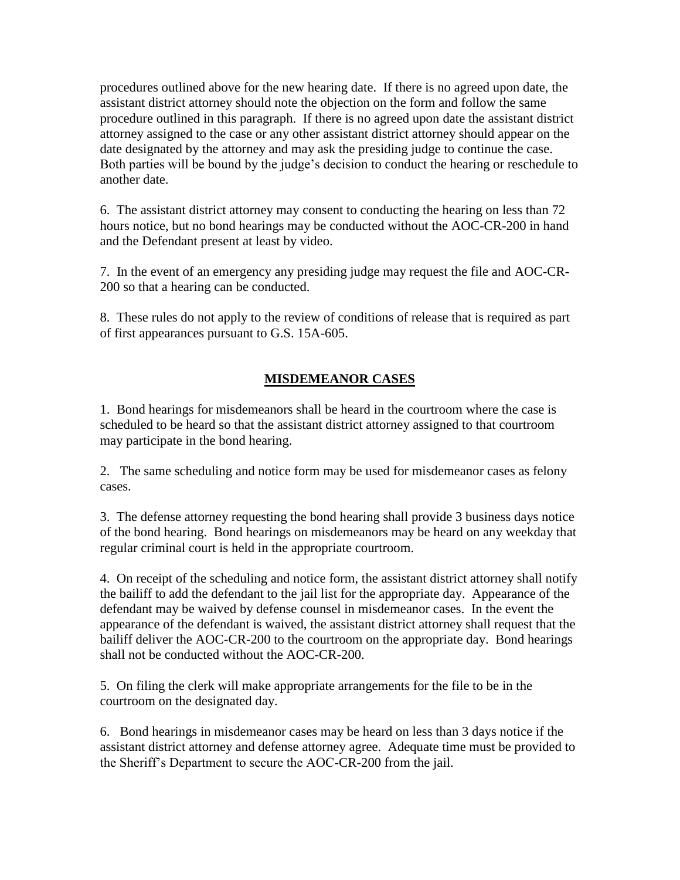procedures outlined above for the new hearing date. If there is no agreed upon date, the assistant district attorney should note the objection on the form and follow the same procedure outlined in this paragraph. If there is no agreed upon date the assistant district attorney assigned to the case or any other assistant district attorney should appear on the date designated by the attorney and may ask the presiding judge to continue the case. Both parties will be bound by the judge's decision to conduct the hearing or reschedule to another date.

6. The assistant district attorney may consent to conducting the hearing on less than 72 hours notice, but no bond hearings may be conducted without the AOC-CR-200 in hand and the Defendant present at least by video.

7. In the event of an emergency any presiding judge may request the file and AOC-CR-200 so that a hearing can be conducted.

8. These rules do not apply to the review of conditions of release that is required as part of first appearances pursuant to G.S. 15A-605.

## **MISDEMEANOR CASES**

1. Bond hearings for misdemeanors shall be heard in the courtroom where the case is scheduled to be heard so that the assistant district attorney assigned to that courtroom may participate in the bond hearing.

2. The same scheduling and notice form may be used for misdemeanor cases as felony cases.

3. The defense attorney requesting the bond hearing shall provide 3 business days notice of the bond hearing. Bond hearings on misdemeanors may be heard on any weekday that regular criminal court is held in the appropriate courtroom.

4. On receipt of the scheduling and notice form, the assistant district attorney shall notify the bailiff to add the defendant to the jail list for the appropriate day. Appearance of the defendant may be waived by defense counsel in misdemeanor cases. In the event the appearance of the defendant is waived, the assistant district attorney shall request that the bailiff deliver the AOC-CR-200 to the courtroom on the appropriate day. Bond hearings shall not be conducted without the AOC-CR-200.

5. On filing the clerk will make appropriate arrangements for the file to be in the courtroom on the designated day.

6. Bond hearings in misdemeanor cases may be heard on less than 3 days notice if the assistant district attorney and defense attorney agree. Adequate time must be provided to the Sheriff's Department to secure the AOC-CR-200 from the jail.